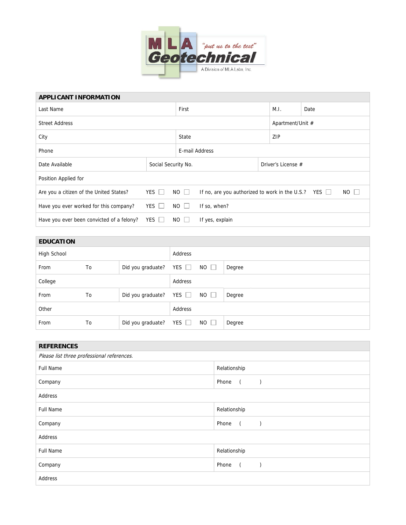

| <b>APPLICANT INFORMATION</b>              |              |                     |                                                                          |  |                    |      |  |  |
|-------------------------------------------|--------------|---------------------|--------------------------------------------------------------------------|--|--------------------|------|--|--|
| Last Name                                 |              |                     | First                                                                    |  |                    | Date |  |  |
| <b>Street Address</b>                     |              |                     |                                                                          |  | Apartment/Unit #   |      |  |  |
| City                                      |              |                     | State                                                                    |  |                    | ZIP  |  |  |
| Phone                                     |              |                     | E-mail Address                                                           |  |                    |      |  |  |
| Date Available                            |              | Social Security No. |                                                                          |  | Driver's License # |      |  |  |
| Position Applied for                      |              |                     |                                                                          |  |                    |      |  |  |
| Are you a citizen of the United States?   | YES $\Box$   | $NO$ $\Box$         | $NO$ $\Box$<br>If no, are you authorized to work in the U.S.? YES $\Box$ |  |                    |      |  |  |
| Have you ever worked for this company?    | YES $\Box$   | $NO$ $\Box$         | If so, when?                                                             |  |                    |      |  |  |
| Have you ever been convicted of a felony? | $YES$ $\Box$ | NO                  | If yes, explain                                                          |  |                    |      |  |  |

| <b>EDUCATION</b> |    |                   |            |             |        |
|------------------|----|-------------------|------------|-------------|--------|
| High School      |    |                   | Address    |             |        |
| From             | To | Did you graduate? | YES $\Box$ | $NO$ $\Box$ | Degree |
| College          |    |                   | Address    |             |        |
| From             | To | Did you graduate? | YES $\Box$ | $NO$ $\Box$ | Degree |
| Other            |    |                   | Address    |             |        |
| From             | To | Did you graduate? | YES $\Box$ | $NO$ $\Box$ | Degree |

| <b>REFERENCES</b>                          |                         |  |  |  |  |
|--------------------------------------------|-------------------------|--|--|--|--|
| Please list three professional references. |                         |  |  |  |  |
| <b>Full Name</b>                           | Relationship            |  |  |  |  |
| Company                                    | Phone<br>$\overline{a}$ |  |  |  |  |
| Address                                    |                         |  |  |  |  |
| <b>Full Name</b>                           | Relationship            |  |  |  |  |
| Company                                    | Phone<br>$\sqrt{2}$     |  |  |  |  |
| Address                                    |                         |  |  |  |  |
| <b>Full Name</b>                           | Relationship            |  |  |  |  |
| Company                                    | Phone<br>$\left($       |  |  |  |  |
| Address                                    |                         |  |  |  |  |